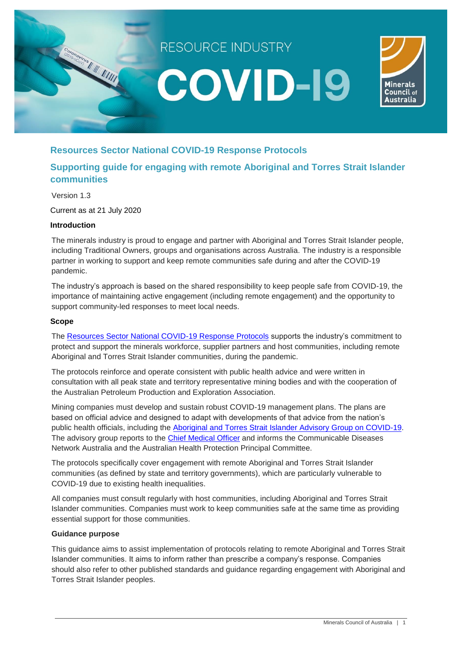

# **Resources Sector National COVID-19 Response Protocols**

# **Supporting guide for engaging with remote Aboriginal and Torres Strait Islander communities**

Version 1.3

Current as at 21 July 2020

### **Introduction**

The minerals industry is proud to engage and partner with Aboriginal and Torres Strait Islander people, including Traditional Owners, groups and organisations across Australia. The industry is a responsible partner in working to support and keep remote communities safe during and after the COVID-19 pandemic.

The industry's approach is based on the shared responsibility to keep people safe from COVID-19, the importance of maintaining active engagement (including remote engagement) and the opportunity to support community-led responses to meet local needs.

#### **Scope**

The [Resources Sector National COVID-19 Response Protocols](https://minerals.org.au/sites/default/files/Resources%20Industry%20COVID-19%20Protocols%20March%202020.pdf) supports the industry's commitment to protect and support the minerals workforce, supplier partners and host communities, including remote Aboriginal and Torres Strait Islander communities, during the pandemic.

The protocols reinforce and operate consistent with public health advice and were written in consultation with all peak state and territory representative mining bodies and with the cooperation of the Australian Petroleum Production and Exploration Association.

Mining companies must develop and sustain robust COVID-19 management plans. The plans are based on official advice and designed to adapt with developments of that advice from the nation's public health officials, including the [Aboriginal and Torres Strait Islander Advisory Group on COVID-19.](https://www.health.gov.au/committees-and-groups/aboriginal-and-torres-strait-islander-advisory-group-on-covid-19) The advisory group reports to the [Chief Medical Officer](https://www.health.gov.au/about-us/who-we-are/leadership#chief-medical-officer) and informs the Communicable Diseases Network Australia and the Australian Health Protection Principal Committee.

The protocols specifically cover engagement with remote Aboriginal and Torres Strait Islander communities (as defined by state and territory governments), which are particularly vulnerable to COVID-19 due to existing health inequalities.

All companies must consult regularly with host communities, including Aboriginal and Torres Strait Islander communities. Companies must work to keep communities safe at the same time as providing essential support for those communities.

#### **Guidance purpose**

This guidance aims to assist implementation of protocols relating to remote Aboriginal and Torres Strait Islander communities. It aims to inform rather than prescribe a company's response. Companies should also refer to other published standards and guidance regarding engagement with Aboriginal and Torres Strait Islander peoples.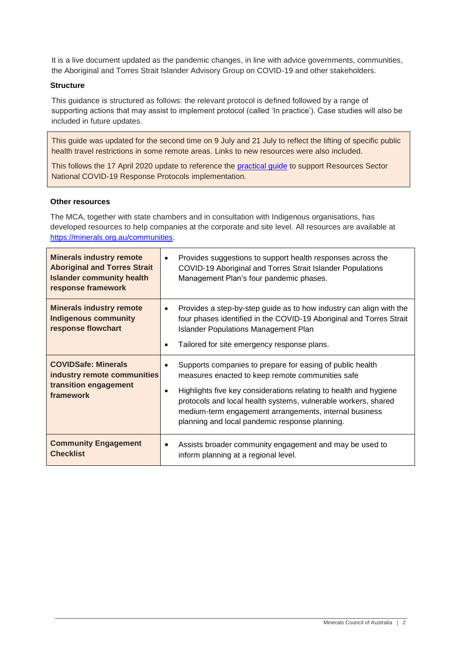It is a live document updated as the pandemic changes, in line with advice governments, communities, the Aboriginal and Torres Strait Islander Advisory Group on COVID-19 and other stakeholders.

## **Structure**

This guidance is structured as follows: the relevant protocol is defined followed by a range of supporting actions that may assist to implement protocol (called 'In practice'). Case studies will also be included in future updates.

This guide was updated for the second time on 9 July and 21 July to reflect the lifting of specific public health travel restrictions in some remote areas. Links to new resources were also included.

This follows the 17 April 2020 update to reference the [practical guide](https://minerals.org.au/sites/default/files/Resources%20Industry%20COVID-19%20Protocols%20-%20supporting%20guidance%20-%2015%20Apr%202020_0.pdf) to support Resources Sector National COVID-19 Response Protocols implementation.

#### **Other resources**

The MCA, together with state chambers and in consultation with Indigenous organisations, has developed resources to help companies at the corporate and site level. All resources are available at [https://minerals.org.au/communities.](https://minerals.org.au/communities)

| <b>Minerals industry remote</b><br><b>Aboriginal and Torres Strait</b><br><b>Islander community health</b><br>response framework | Provides suggestions to support health responses across the<br>$\bullet$<br>COVID-19 Aboriginal and Torres Strait Islander Populations<br>Management Plan's four pandemic phases.                                                                                                                                                                                                          |
|----------------------------------------------------------------------------------------------------------------------------------|--------------------------------------------------------------------------------------------------------------------------------------------------------------------------------------------------------------------------------------------------------------------------------------------------------------------------------------------------------------------------------------------|
| <b>Minerals industry remote</b><br><b>Indigenous community</b><br>response flowchart                                             | Provides a step-by-step guide as to how industry can align with the<br>$\bullet$<br>four phases identified in the COVID-19 Aboriginal and Torres Strait<br><b>Islander Populations Management Plan</b><br>Tailored for site emergency response plans.<br>$\bullet$                                                                                                                         |
| <b>COVIDSafe: Minerals</b><br>industry remote communities<br>transition engagement<br>framework                                  | Supports companies to prepare for easing of public health<br>$\bullet$<br>measures enacted to keep remote communities safe<br>Highlights five key considerations relating to health and hygiene<br>$\bullet$<br>protocols and local health systems, vulnerable workers, shared<br>medium-term engagement arrangements, internal business<br>planning and local pandemic response planning. |
| <b>Community Engagement</b><br><b>Checklist</b>                                                                                  | Assists broader community engagement and may be used to<br>$\bullet$<br>inform planning at a regional level.                                                                                                                                                                                                                                                                               |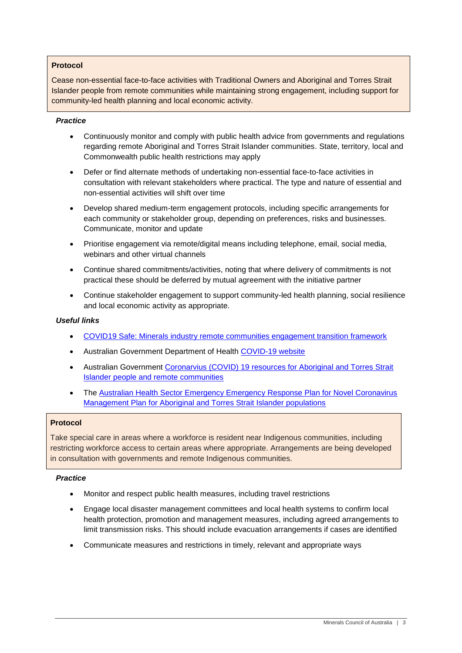## **Protocol**

Cease non-essential face-to-face activities with Traditional Owners and Aboriginal and Torres Strait Islander people from remote communities while maintaining strong engagement, including support for community-led health planning and local economic activity.

#### *Practice*

- Continuously monitor and comply with public health advice from governments and regulations regarding remote Aboriginal and Torres Strait Islander communities. State, territory, local and Commonwealth public health restrictions may apply
- Defer or find alternate methods of undertaking non-essential face-to-face activities in consultation with relevant stakeholders where practical. The type and nature of essential and non-essential activities will shift over time
- Develop shared medium-term engagement protocols, including specific arrangements for each community or stakeholder group, depending on preferences, risks and businesses. Communicate, monitor and update
- Prioritise engagement via remote/digital means including telephone, email, social media, webinars and other virtual channels
- Continue shared commitments/activities, noting that where delivery of commitments is not practical these should be deferred by mutual agreement with the initiative partner
- Continue stakeholder engagement to support community-led health planning, social resilience and local economic activity as appropriate.

#### *Useful links*

- [COVID19 Safe: Minerals industry remote communities engagement transition framework](https://minerals.org.au/communities)
- Australian Government Department of Health [COVID-19 website](https://www.health.gov.au/news/health-alerts/novel-coronavirus-2019-ncov-health-alert)
- Australian Government [Coronarvius \(COVID\) 19 resources for Aboriginal and Torres Strait](https://www.health.gov.au/resources/collections/coronavirus-covid-19-resources-for-aboriginal-and-torres-strait-islander-people-and-remote-communities)  [Islander people and remote communities](https://www.health.gov.au/resources/collections/coronavirus-covid-19-resources-for-aboriginal-and-torres-strait-islander-people-and-remote-communities)
- The [Australian Health Sector Emergency Emergency Response Plan for Novel Coronavirus](https://www.health.gov.au/sites/default/files/documents/2020/03/management-plan-for-aboriginal-and-torres-strait-islander-populations.pdf%5d)  [Management Plan for Aboriginal and Torres Strait Islander populations](https://www.health.gov.au/sites/default/files/documents/2020/03/management-plan-for-aboriginal-and-torres-strait-islander-populations.pdf%5d)

#### **Protocol**

Take special care in areas where a workforce is resident near Indigenous communities, including restricting workforce access to certain areas where appropriate. Arrangements are being developed in consultation with governments and remote Indigenous communities.

## *Practice*

- Monitor and respect public health measures, including travel restrictions
- Engage local disaster management committees and local health systems to confirm local health protection, promotion and management measures, including agreed arrangements to limit transmission risks. This should include evacuation arrangements if cases are identified
- Communicate measures and restrictions in timely, relevant and appropriate ways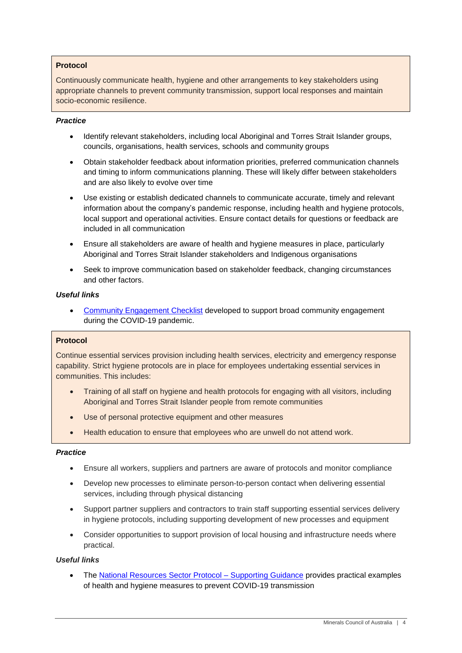## **Protocol**

Continuously communicate health, hygiene and other arrangements to key stakeholders using appropriate channels to prevent community transmission, support local responses and maintain socio-economic resilience.

#### *Practice*

- Identify relevant stakeholders, including local Aboriginal and Torres Strait Islander groups, councils, organisations, health services, schools and community groups
- Obtain stakeholder feedback about information priorities, preferred communication channels and timing to inform communications planning. These will likely differ between stakeholders and are also likely to evolve over time
- Use existing or establish dedicated channels to communicate accurate, timely and relevant information about the company's pandemic response, including health and hygiene protocols, local support and operational activities. Ensure contact details for questions or feedback are included in all communication
- Ensure all stakeholders are aware of health and hygiene measures in place, particularly Aboriginal and Torres Strait Islander stakeholders and Indigenous organisations
- Seek to improve communication based on stakeholder feedback, changing circumstances and other factors.

#### *Useful links*

 [Community Engagement Checklist](https://minerals.org.au/sites/default/files/COVID-19%20Community%20Engagement%20Checklist%209%20Apr%202020.pdf%5d) developed to support broad community engagement during the COVID-19 pandemic.

## **Protocol**

Continue essential services provision including health services, electricity and emergency response capability. Strict hygiene protocols are in place for employees undertaking essential services in communities. This includes:

- Training of all staff on hygiene and health protocols for engaging with all visitors, including Aboriginal and Torres Strait Islander people from remote communities
- Use of personal protective equipment and other measures
- Health education to ensure that employees who are unwell do not attend work.

#### *Practice*

- Ensure all workers, suppliers and partners are aware of protocols and monitor compliance
- Develop new processes to eliminate person-to-person contact when delivering essential services, including through physical distancing
- Support partner suppliers and contractors to train staff supporting essential services delivery in hygiene protocols, including supporting development of new processes and equipment
- Consider opportunities to support provision of local housing and infrastructure needs where practical.

## *Useful links*

• The [National Resources Sector Protocol –](https://minerals.org.au/sites/default/files/Resources%20Industry%20COVID-19%20Protocols%20-%20supporting%20guidance%20-%2015%20Apr%202020_0.pdf) Supporting Guidance provides practical examples of health and hygiene measures to prevent COVID-19 transmission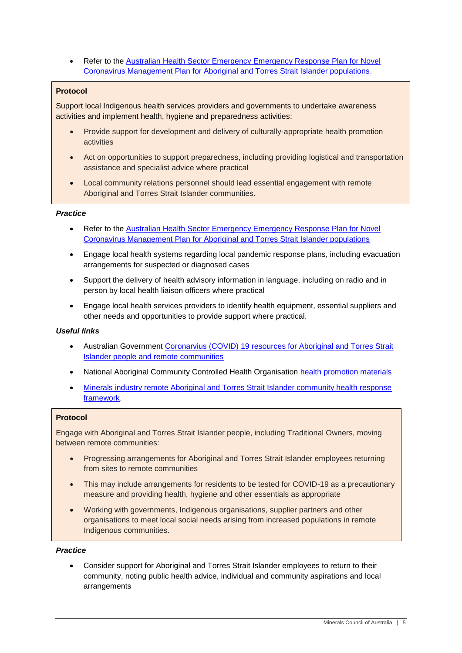Refer to the [Australian Health Sector Emergency Emergency Response Plan for Novel](https://www.health.gov.au/sites/default/files/documents/2020/03/management-plan-for-aboriginal-and-torres-strait-islander-populations.pdf%5d)  [Coronavirus Management Plan for Aboriginal and Torres Strait Islander populations.](https://www.health.gov.au/sites/default/files/documents/2020/03/management-plan-for-aboriginal-and-torres-strait-islander-populations.pdf%5d)

# **Protocol**

Support local Indigenous health services providers and governments to undertake awareness activities and implement health, hygiene and preparedness activities:

- Provide support for development and delivery of culturally-appropriate health promotion activities
- Act on opportunities to support preparedness, including providing logistical and transportation assistance and specialist advice where practical
- Local community relations personnel should lead essential engagement with remote Aboriginal and Torres Strait Islander communities.

## *Practice*

- Refer to the [Australian Health Sector Emergency Emergency Response Plan for Novel](https://www.health.gov.au/sites/default/files/documents/2020/03/management-plan-for-aboriginal-and-torres-strait-islander-populations.pdf%5d)  [Coronavirus Management Plan for Aboriginal and Torres Strait Islander populations](https://www.health.gov.au/sites/default/files/documents/2020/03/management-plan-for-aboriginal-and-torres-strait-islander-populations.pdf%5d)
- Engage local health systems regarding local pandemic response plans, including evacuation arrangements for suspected or diagnosed cases
- Support the delivery of health advisory information in language, including on radio and in person by local health liaison officers where practical
- Engage local health services providers to identify health equipment, essential suppliers and other needs and opportunities to provide support where practical.

## *Useful links*

- Australian Government [Coronarvius \(COVID\) 19 resources for Aboriginal and Torres Strait](https://www.health.gov.au/resources/collections/coronavirus-covid-19-resources-for-aboriginal-and-torres-strait-islander-people-and-remote-communities)  [Islander people and remote communities](https://www.health.gov.au/resources/collections/coronavirus-covid-19-resources-for-aboriginal-and-torres-strait-islander-people-and-remote-communities)
- National Aboriginal Community Controlled Health Organisation [health promotion materials](https://www.naccho.org.au/home/aboriginal-health-alerts-coronavirus-covid-19/stop-the-spread-of-coronavirus-covid-19/covid-19-resources/)
- [Minerals industry remote Aboriginal and Torres Strait Islander community health response](https://minerals.org.au/communities)  [framework.](https://minerals.org.au/communities)

## **Protocol**

Engage with Aboriginal and Torres Strait Islander people, including Traditional Owners, moving between remote communities:

- Progressing arrangements for Aboriginal and Torres Strait Islander employees returning from sites to remote communities
- This may include arrangements for residents to be tested for COVID-19 as a precautionary measure and providing health, hygiene and other essentials as appropriate
- Working with governments, Indigenous organisations, supplier partners and other organisations to meet local social needs arising from increased populations in remote Indigenous communities.

## *Practice*

 Consider support for Aboriginal and Torres Strait Islander employees to return to their community, noting public health advice, individual and community aspirations and local arrangements